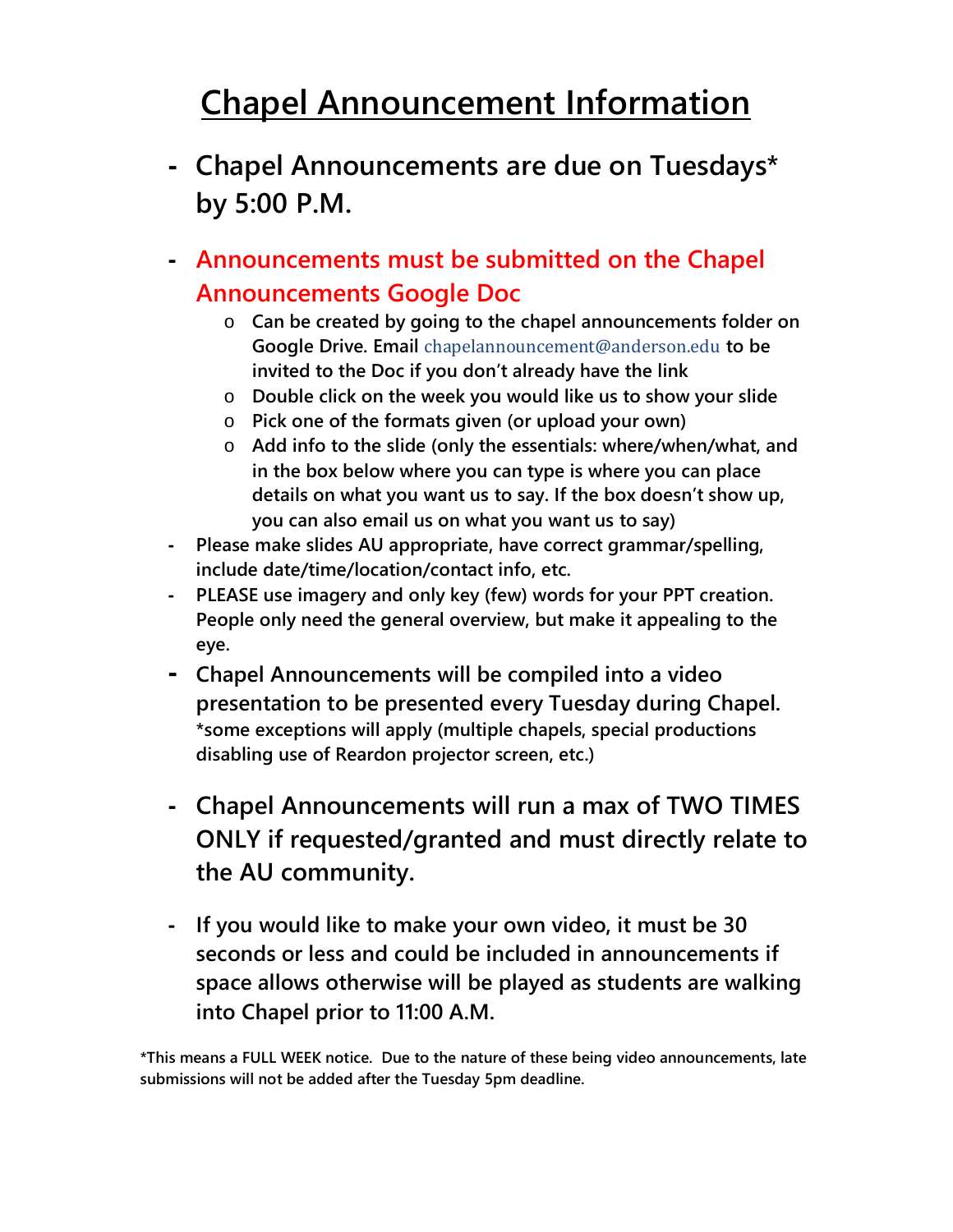## **Chapel Announcement Information**

- **- Chapel Announcements are due on Tuesdays\* by 5:00 P.M.**
- **- Announcements must be submitted on the Chapel Announcements Google Doc**
	- o **Can be created by going to the chapel announcements folder on Google Drive. Email** chapelannouncement@anderson.edu **to be invited to the Doc if you don't already have the link**
	- o **Double click on the week you would like us to show your slide**
	- o **Pick one of the formats given (or upload your own)**
	- o **Add info to the slide (only the essentials: where/when/what, and in the box below where you can type is where you can place details on what you want us to say. If the box doesn't show up, you can also email us on what you want us to say)**
- **- Please make slides AU appropriate, have correct grammar/spelling, include date/time/location/contact info, etc.**
- **- PLEASE use imagery and only key (few) words for your PPT creation. People only need the general overview, but make it appealing to the eye.**
- **- Chapel Announcements will be compiled into a video presentation to be presented every Tuesday during Chapel. \*some exceptions will apply (multiple chapels, special productions disabling use of Reardon projector screen, etc.)**
- **- Chapel Announcements will run a max of TWO TIMES ONLY if requested/granted and must directly relate to the AU community.**
- **- If you would like to make your own video, it must be 30 seconds or less and could be included in announcements if space allows otherwise will be played as students are walking into Chapel prior to 11:00 A.M.**

**\*This means a FULL WEEK notice. Due to the nature of these being video announcements, late submissions will not be added after the Tuesday 5pm deadline.**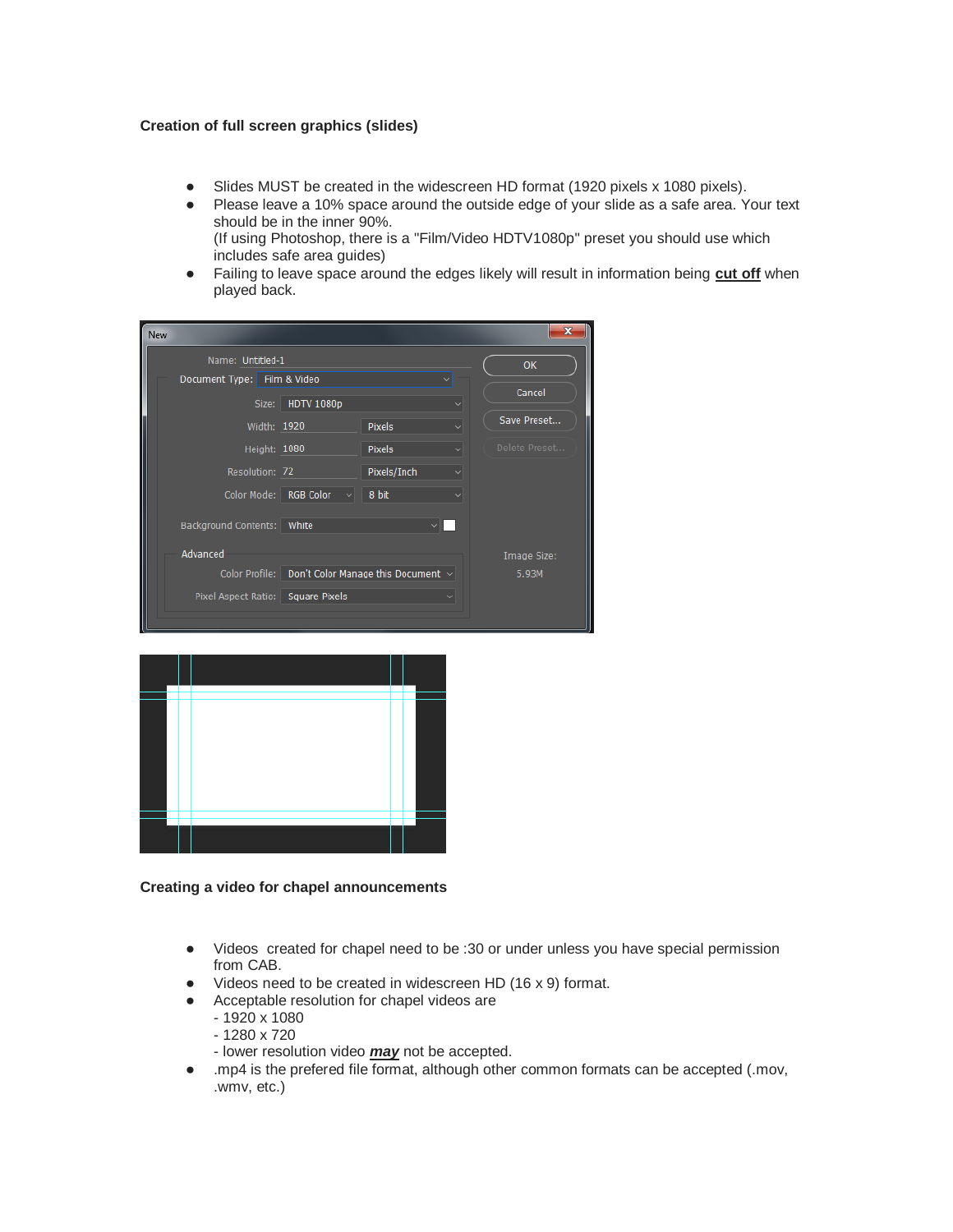## **Creation of full screen graphics (slides)**

- Slides MUST be created in the widescreen HD format (1920 pixels x 1080 pixels).
- Please leave a 10% space around the outside edge of your slide as a safe area. Your text should be in the inner 90%. (If using Photoshop, there is a "Film/Video HDTV1080p" preset you should use which
- includes safe area guides) ● Failing to leave space around the edges likely will result in information being **cut off** when
- played back.

| <b>New</b>                        |                                                          |               |              |               |
|-----------------------------------|----------------------------------------------------------|---------------|--------------|---------------|
| Name: Untitled-1                  |                                                          |               |              | <b>OK</b>     |
| Document Type: Film & Video       |                                                          |               |              |               |
|                                   | Size: HDTV 1080p                                         |               |              | Cancel        |
| Width: 1920                       |                                                          | <b>Pixels</b> |              | Save Preset   |
| Height: 1080                      |                                                          | <b>Pixels</b> | $\checkmark$ | Delete Preset |
| Resolution: 72                    |                                                          | Pixels/Inch   |              |               |
|                                   | Color Mode: RGB Color $\vee$ 8 bit                       |               |              |               |
| Background Contents: White        |                                                          |               |              |               |
| Advanced                          |                                                          |               |              | Image Size:   |
|                                   | Color Profile:   Don't Color Manage this Document $\vee$ |               |              | 5.93M         |
| Pixel Aspect Ratio: Square Pixels |                                                          |               |              |               |
|                                   |                                                          |               |              |               |



## **Creating a video for chapel announcements**

- Videos created for chapel need to be :30 or under unless you have special permission from CAB.
- Videos need to be created in widescreen HD (16 x 9) format.
- Acceptable resolution for chapel videos are
	- 1920 x 1080
	- 1280 x 720
	- lower resolution video *may* not be accepted.
- .mp4 is the prefered file format, although other common formats can be accepted (.mov, .wmv, etc.)